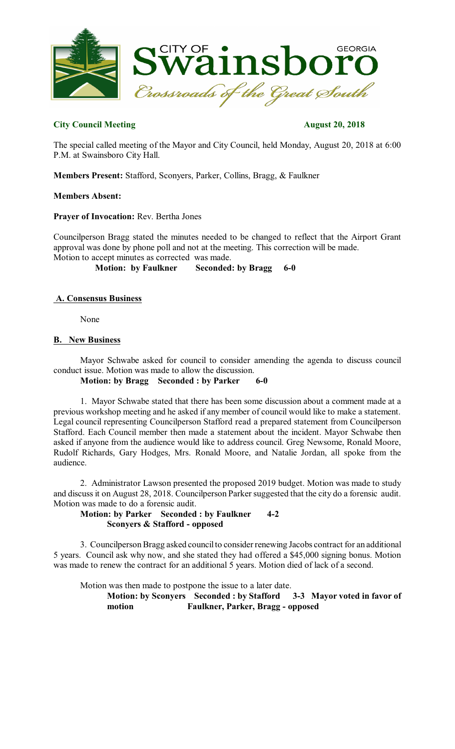

# **City Council Meeting August 20, 2018**

The special called meeting of the Mayor and City Council, held Monday, August 20, 2018 at 6:00 P.M. at Swainsboro City Hall.

**Members Present:** Stafford, Sconyers, Parker, Collins, Bragg, & Faulkner

## **Members Absent:**

**Prayer of Invocation:** Rev. Bertha Jones

Councilperson Bragg stated the minutes needed to be changed to reflect that the Airport Grant approval was done by phone poll and not at the meeting. This correction will be made. Motion to accept minutes as corrected was made.

**Motion: by Faulkner Seconded: by Bragg 6-0**

## **A. Consensus Business**

None

## **B. New Business**

Mayor Schwabe asked for council to consider amending the agenda to discuss council conduct issue. Motion was made to allow the discussion. **Motion: by Bragg Seconded : by Parker 6-0**

1. Mayor Schwabe stated that there has been some discussion about a comment made at a previous workshop meeting and he asked if any member of council would like to make a statement. Legal council representing Councilperson Stafford read a prepared statement from Councilperson Stafford. Each Council member then made a statement about the incident. Mayor Schwabe then asked if anyone from the audience would like to address council. Greg Newsome, Ronald Moore, Rudolf Richards, Gary Hodges, Mrs. Ronald Moore, and Natalie Jordan, all spoke from the audience.

2. Administrator Lawson presented the proposed 2019 budget. Motion was made to study and discussit on August 28, 2018. Councilperson Parker suggested that the city do a forensic audit. Motion was made to do a forensic audit.

**Motion: by Parker Seconded : by Faulkner 4-2 Sconyers & Stafford - opposed**

3. Councilperson Bragg asked council to consider renewing Jacobs contract for an additional 5 years. Council ask why now, and she stated they had offered a \$45,000 signing bonus. Motion was made to renew the contract for an additional 5 years. Motion died of lack of a second.

Motion was then made to postpone the issue to a later date.

**Motion: by Sconyers Seconded : by Stafford 3-3 Mayor voted in favor of motion Faulkner, Parker, Bragg - opposed**